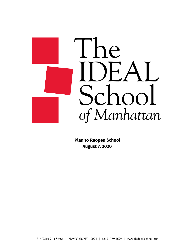

**Plan to Reopen School August 7, 2020**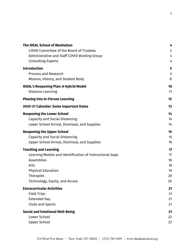| <b>The IDEAL School of Manhattan</b>                     | 4  |
|----------------------------------------------------------|----|
| COVID Committee of the Board of Trustees                 | 4  |
| Administrative and Staff COVID Working Group             | 4  |
| <b>Consulting Experts</b>                                | 4  |
| <b>Introduction</b>                                      | 5  |
| <b>Process and Research</b>                              | 5  |
| Mission, History, and Student Body                       | 8  |
| <b>IDEAL's Reopening Plan: A Hybrid Model</b>            | 10 |
| Distance Learning                                        | 11 |
| <b>Phasing Into In-Person Learning</b>                   | 12 |
| 2020-21 Calendar: Some Important Dates                   | 13 |
| <b>Reopening the Lower School</b>                        | 14 |
| <b>Capacity and Social Distancing</b>                    | 14 |
| Lower School Arrival, Dismissal, and Supplies            | 14 |
| <b>Reopening the Upper School</b>                        | 15 |
| Capacity and Social Distancing                           | 15 |
| Upper School Arrival, Dismissal, and Supplies            | 16 |
| <b>Teaching and Learning</b>                             | 17 |
| Learning Models and Identification of Instructional Gaps | 17 |
| Assemblies                                               | 18 |
| Arts                                                     | 18 |
| <b>Physical Education</b>                                | 19 |
| <b>Therapies</b>                                         | 20 |
| Technology, Equity, and Access                           | 20 |
| <b>Extracurricular Activities</b>                        | 21 |
| <b>Field Trips</b>                                       | 21 |
| <b>Extended Day</b>                                      | 21 |
| <b>Clubs and Sports</b>                                  | 21 |
| <b>Social and Emotional Well-Being</b>                   | 21 |
| Lower School                                             | 22 |
| <b>Upper School</b>                                      | 23 |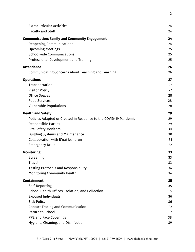| <b>Extracurricular Activities</b><br><b>Faculty and Staff</b>    | 24<br>24 |
|------------------------------------------------------------------|----------|
| <b>Communication/Family and Community Engagement</b>             | 24       |
| Reopening Communications                                         | 24       |
| <b>Upcoming Meetings</b>                                         | 25       |
| <b>Schoolwide Communications</b>                                 | 25       |
| Professional Development and Training                            | 25       |
| <b>Attendance</b>                                                | 26       |
| Communicating Concerns About Teaching and Learning               | 26       |
| <b>Operations</b>                                                | 27       |
| Transportation                                                   | 27       |
| <b>Visitor Policy</b>                                            | 27       |
| <b>Office Spaces</b>                                             | 28       |
| <b>Food Services</b>                                             | 28       |
| <b>Vulnerable Populations</b>                                    | 28       |
| <b>Health and Safety</b>                                         | 29       |
| Policies Adapted or Created in Response to the COVID-19 Pandemic | 29       |
| <b>Responsible Parties</b>                                       | 29       |
| <b>Site Safety Monitors</b>                                      | 30       |
| <b>Building Systems and Maintenance</b>                          | 30       |
| Collaboration with B'nai Jeshurun                                | 31       |
| <b>Emergency Drills</b>                                          | 32       |
| <b>Monitoring</b>                                                | 33       |
| Screening                                                        | 33       |
| <b>Travel</b>                                                    | 33       |
| <b>Testing Protocols and Responsibility</b>                      | 34       |
| <b>Monitoring Community Health</b>                               | 34       |
| <b>Containment</b>                                               | 35       |
| Self-Reporting                                                   | 35       |
| School Health Offices, Isolation, and Collection                 | 35       |
| <b>Exposed Individuals</b>                                       | 36       |
| <b>Sick Policy</b>                                               | 36       |
| <b>Contact Tracing and Communication</b>                         | 37       |
| Return to School                                                 | 37       |
| <b>PPE and Face Coverings</b>                                    | 38       |
| Hygiene, Cleaning, and Disinfection                              | 39       |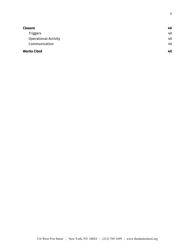| <b>Closure</b>              | 40 |
|-----------------------------|----|
| <b>Triggers</b>             | 40 |
| <b>Operational Activity</b> | 40 |
| Communication               | 40 |
| <b>Works Cited</b>          | 40 |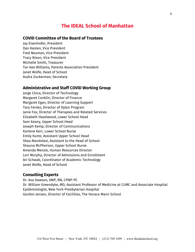## **The IDEAL School of Manhattan**

### <span id="page-4-1"></span><span id="page-4-0"></span>**COVID Committee of the Board of Trustees**

Jay Eisenhofer, President Dan Kesten, Vice President Fred Neuman, Vice President Tracy Nixon, Vice President Michelle Smith, Treasurer Tar-kee Williams, Parents Association President Janet Wolfe, Head of School Audra Zuckerman, Secretary

### <span id="page-4-2"></span>**Administrative and Staff COVID Working Group**

Jorge Chica, Director of Technology Margaret Conklin, Director of Finance Margaret Egan, Director of Learning Support Tara Fersko, Director of Dylan Program Janie Fox, Director of Therapies and Related Services Elizabeth Hazelwood, Lower School Head Sam Keany, Upper School Head Joseph Kemp, Director of Communications Karlene Kerr, Lower School Nurse Emily Kuntz, Assistant Upper School Head Shea Mandolesi, Assistant to the Head of School Shauna McPherson, Upper School Nurse Amanda Menzie, Human Resources Director Lori Murphy, Director of Admissions and Enrollment Ari Schwab, Coordinator of Academic Technology Janet Wolfe, Head of School

#### <span id="page-4-3"></span>**Consulting Experts**

Dr. Ava Dawson, DNP, RN, CPNP-PC Dr. William Greendyke, MD, Assistant Professor of Medicine at CUMC and Associate Hospital Epidemiologist, New York-Presbyterian Hospital Gordon Jensen, Director of Facilities, The Horace Mann School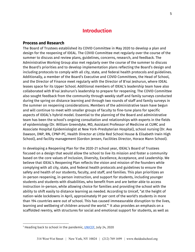## **Introduction**

#### <span id="page-5-1"></span><span id="page-5-0"></span>**Process and Research**

The Board of Trustees established its COVID Committee in May 2020 to develop a plan and design for the reopening of IDEAL. The COVID Committee met regularly over the course of the summer to discuss and review plans, guidelines, concerns, research, and feedback. The Administrative Working Group also met regularly over the course of the summer to discuss the Board's priorities and to develop implementation plans reflecting the Board's design and including protocols to comply with all city, state, and federal health protocols and guidelines. Additionally, a member of the Board's Executive and COVID Committees, the Head of School, and the Director of Finance meet regularly with the Director of B'nai Jeshurun, where IDEAL leases space for its Upper School. Additional members of IDEAL's leadership team have also collaborated with B'nai Jeshurun's leadership to prepare for reopening. The COVID Committee also sought feedback from the community through weekly staff and family surveys conducted during the spring on distance learning and through two rounds of staff and family surveys in the summer on reopening considerations. Members of the administrative team have begun and will continue to meet with smaller groups of faculty to fine-tune plans for specific aspects of IDEAL's hybrid model. Essential to the planning of the Board and administrative team has been the school's ongoing consultation and relationships with experts in the fields of epidemiology (Dr. William Greendyke, MD, Assistant Professor of Medicine at CUMC and Associate Hospital Epidemiologist at New York-Presbyterian Hospital), school nursing (Dr. Ava Dawson, DNP, RN, CPNP-PC, Health Director at Little Red School House & Elisabeth Irwin High School), and facility management (Gordon Jensen, Facilities Director, Horace Mann School).

In developing a Reopening Plan for the 2020-21 school year, IDEAL's Board of Trustees focused on a design that would allow the school to live its mission and foster a community based on the core values of Inclusion, Diversity, Excellence, Acceptance, and Leadership. We believe that IDEAL's Reopening Plan reflects the vision and mission of the founders while complying with all city, state, and federal health protocols and guidelines to ensure the safety and health of our students, faculty, and staff, and families. This plan prioritizes an in-person reopening, in-person instruction, and support for students, including younger students and students with disabilities, who benefit from and are better able to access instruction in-person, while allowing choice for families and providing the school with the ability to shift easily to distance learning as needed. According to Unicef, "at the height of nation-wide lockdowns in April, approximately 91 per cent of the world's students in more than 194 countries were out of school. This has caused immeasurable disruption to the lives, learning and wellbeing of children around the world."<sup>1</sup> It also provides an emphasis on a scaffolded reentry, with structures for social and emotional support for students, as well as

<sup>&</sup>lt;sup>1</sup> Heading back to school in the pandemic, [UNICEF](https://www.unicef.org/coronavirus/heading-back-school-in-pandemic?utm_source=facebook&utm_medium=organic&utm_campaign=coronavirus&fbclid=IwAR3zFndHYQCoFK6pJKz89vjNppNfgSL9AUEc6CQZHM_QI5VrnsLZNd9b99k), July 24, 2020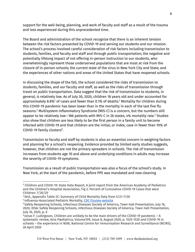support for the well-being, planning, and work of faculty and staff as a result of the trauma and loss experienced during this unprecedented time.

The Board and administration of the school recognize that there is an inherent tension between the risk factors presented by COVID-19 and serving our students and our mission. The school's process involved careful consideration of risk factors including transmission to students, families, and faculty and staff and through public transportation; the negative and potentially lifelong impact of not offering in-person instruction to our students, who overwhelmingly represent those underserved populations that are most at risk from the closure of in-person schools; the current state of the virus in New York City and State; and the experiences of other nations and areas of the United States that have reopened schools.

In discussing the shape of the fall, the school considered the risks of transmission to students, families, and our faculty and staff, as well as the risks of transmission through travel on public transportation. Data suggest that the risk of transmission to students, in general, is relatively low. As of July 30, 2020, children 18 years old and under accounted for approximately 8.8% $^{\rm 2}$  of cases and fewer than 0.1% of deaths. $^{\rm 3}$  Mortality for children during this COVID-19 pandemic has been lower than in the mortality in each of the last five flu seasons. $^4$  Multisystem Inflammatory Syndrome (MIS-C) is a concern, but the numbers still appear to be relatively low--186 patients with MIS-C in 26 states, 4% mortality rate. $^5$  Studies also show that children are less likely to be the first person in a family unit to become infected with COVID-19 and that children are the initial, or index, case in fewer than 10% of COVID-19 family clusters<sup>6</sup>.

Transmission to faculty and staff by students is also an essential concern in weighing factors and planning for a school's reopening. Evidence provided by limited early studies suggests, however, that children are not the primary spreaders in schools. The risk of transmission increases from students age 10 and above and underlying conditions in adults may increase the severity of COVID-19 symptoms.

Transmission as a result of public transportation was also a focus of the school's study. In New York, at the start of the pandemic, before PPE was mandated and new cleaning

<sup>2</sup> Children and COVID-19: State Data Report, A joint report from the American Academy of Pediatrics and the Children's Hospital Association, Fig 3. Percent of Cumulative COVID-19 Cases that were Children: 7/30/20

<sup>3</sup> Ibid., Appendix Table 2C: Summary of Child Mortality Data from 5/21-7/30

<sup>4</sup> Influenza-Associated Pediatric Mortality, CDC Fluview [website](https://gis.cdc.gov/grasp/fluview/pedfludeath.html)

<sup>5</sup> Safely Reopening Schools, Infectious Diseases Society of America, Town Hall Presentation, July 16, 2020, IDSA: Safely Reopening Schools, Infectious Diseases Society of America, Town Hall Presentation, July 16, 2020, p. 6

<sup>6</sup> Jonas F. Ludvigsson, Children are unlikely to be the main drivers of the COVID-19 pandemic – A systematic review, Acta Pædiatrica, Volume109, Issue 8, August 2020, p. 1525-1530 *and* COVID-19 in schools – the experience in NSW, National Centre for Immunisation Research and Surveillance (NCIRS), 26 April 2020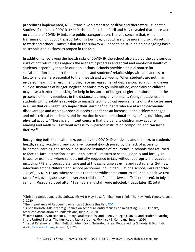procedures implemented, 4,000 transit workers tested positive and there were 131 deaths. Studies of clusters of COVID-19 in Paris and Austria in April and May revealed that there were no clusters of COVID-19 linked to public transportation. There is concern that, while transmission on public transportation is low now, it could rise once more individuals return to work and school. Transmission on the subway will need to be studied on an ongoing basis as schools and businesses reopen in the fall<sup>7</sup>.

In addition to reviewing the health risks of COVID-19, the school also studied the very serious risks of not returning as regards the academic progress and social and emotional health of students, especially those in our populations. Schools provide a crucial source for social-emotional support for all students, and students' relationships with and access to faculty and staff are essential to their health and well-being. When students are not in an in-person learning environment, they face increased risk of depression, isolation, and even suicide. Instances of hunger, neglect, or abuse may go unidentified, especially as children may have a harder time asking for help in instances of hunger, neglect, or abuse due to the presence of family members in the distance learning environment. Younger students and students with disabilities struggle to manage technological requirements of distance learning in a way that can negatively impact their learning. $\textsuperscript{s}$  Students who are at a socioeconomic disadvantage and who have special needs experience an increase in the achievement gap and miss critical experiences and instruction in social-emotional skills, safety, nutrition, and physical activity.<sup>9</sup> There is significant concern that the deficits children may acquire in reading and math skills without access to in-person instruction compound and can last a lifetime. 10

Recognizing both the health risks posed by the COVID-19 pandemic and the risks to students' health, safety, academic, and social-emotional growth posed by the lack of access to in-person learning, the school also studied instances of recurrence in schools that returned to face-to-face instruction, as well as successful returns to school globally and locally. In Israel, for example, where schools initially reopened in May without appropriate precautions including PPE and social distancing and at the same time as gyms and restaurants, 244 new infections among children and school personnel, including 130 at one school, were reported $^{\rm 11}$ . As of July 6, in Texas, where schools reopened while some counties still had a positive test rate of 5%, over 1,300 cases in over 800 child care facilities (894 staff; 441 children). In July, a camp in Missouri closed after 41 campers and staff were infected; 4 days later, 82 total

<sup>7</sup> Christina Goldbaum, Is the Subway Risky? It May Be Safer Than You Think, The New York Times, August 2, 2020

<sup>&</sup>lt;sup>8</sup> The Importance of Reopening America's Schools this Fall, [CDC](https://www.cdc.gov/coronavirus/2019-ncov/community/schools-childcare/reopening-schools.html#:~:text=Reopening%20schools%20creates%20opportunity%20to,staff%20and%20all%20their%20families.&text=CDC%20COVID%20Data%20Tracker.)

<sup>9</sup> Trisha Korioth, AAP interim guidance on school re-entry focuses on mitigating COVID-19 risks, American Association of Pediatricians, June 26, 2020

<sup>10</sup> Emma Dorn, Bryan Hancock, Jimmy Sarakatsannis, and Ellen Viruleg, COVID-19 and student learning in the United States: The hurt could last a lifetime, McKinsey & Company, June 1, 2020

<sup>11</sup> Isabel Kershner and Pam Belluck, When Covid Subsided, Israel Reopened Its Schools. It Didn't Go Well., New York [Times,](https://www.nytimes.com/2020/08/04/world/middleeast/coronavirus-israel-schools-reopen.html) August 4, 2020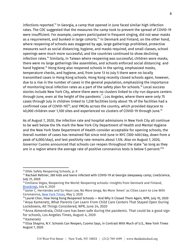infections reported. $^{12}$  In Georgia, a camp that opened in June faced similar high infection rates. The CDC suggested that the measures the camp took to prevent the spread of COVID-19 were insufficient. For example, campers participated in frequent singing, did not wear masks as a requirement, and bunked in large cohorts. $^{\rm 13}$  In Denmark and Finland, on the other hand, where reopening of schools was staggered by age, large gatherings prohibited, protective measures such as social distancing, hygiene, and masks required, and small classes, school openings were much more successful, and the countries continued to show declining infection rates. $^{14}$  Similarly, in Taiwan where reopening was successful, children wore masks, there were no large gatherings like assemblies, and schools enforced social distancing and hand hygiene.<sup>15</sup> Hong Kong also reopened schools in the spring, emphasized masks, temperature checks, and hygiene, and, from June 13 to July 5 there were no locally transmitted cases in Hong Kong schools. Hong Kong recently closed schools again, however, due to a rise in the number of cases in the general population, emphasizing the importance of monitoring local infection rates as a part of the safety plan for schools. $^{16}$  Local success stories include New York City, where there were no clusters linked to city-run daycare centers through June, even at the height of the pandemic $^{\text{7}}$ ; Los Angeles, where there were only 75 cases through July in children linked to 7,238 facilities (only about 1% of the facilities had a confirmed case of COVID-19)<sup>18</sup>; and YMCAs across the country, which provided daycare to 40,000 children over 1,100 sites and experienced no clusters of COVID-19 through June. 19

As of August 7, 2020, the infection rate and hospital admissions in New York City all continue to be well below the 5% mark the New York City Department of Health and Mental Hygiene and the New York State Department of Health consider acceptable for opening schools, the 0verall number of cases has remained flat since mid-June in NYC (300-400/day, down from a peak of 6,000/day), and test positivity rate remains about 1.5%. Also on August 7, 2020, Governor Cuomo announced that schools can reopen throughout the state "as long as they are in a region where the average rate of positive coronavirus tests is below 5 percent." $^{\rm 20}$ 

<sup>12</sup> IDSA: Safely Reopening Schools, p. 9

<sup>&</sup>lt;sup>13</sup> Rachael Rettner, 260 kids and teens infected with COVID-19 at Georgia sleepaway camp, LiveScience, July 31, 2020

<sup>&</sup>lt;sup>14</sup> Emiliana Vegas, Reopening the World: Reopening schools—Insights from Denmark and Finland, [Brookings](https://www.brookings.edu/blog/education-plus-development/2020/07/06/reopening-the-world-reopening-schools-insights-from-denmark-and-finland/), July 6, 2020

<sup>15</sup> Javier C. Hernández and Su-Hyun Lee, No More Jenga, No More 'Amen' as Cities Learn to Live With Coronavirus, New York [Times](https://www.nytimes.com/2020/05/02/world/asia/coronavirus-china-hong-kong-south-korea-australia.html), May 2, 2020

<sup>&</sup>lt;sup>16</sup> Laurel Chor, How Hong Kong Reopened Schools — And Why It Closed Them Again, NPR, July 10, 2020 <sup>17</sup> Anya Kamenetz, What Parents Can Learn From Child Care Centers That Stayed Open During Lockdowns, All Things Considered, NPR, June 24, 2020

 $18$  Anna Almendrala, Child care has been safe during the pandemic. That could be a good sign for schools, Los Angeles Times, August 4, 2020

<sup>&</sup>lt;sup>19</sup> Kamenetz

 $^{20}$  Eliza Shapiro, N.Y. Schools Can Reopen, Cuomo Says, in Contrast With Much of U.S., New York Times August 7, 2020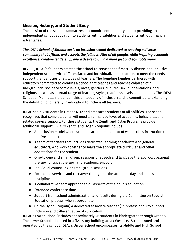### <span id="page-9-0"></span>**Mission, History, and Student Body**

The mission of the school summarizes its commitment to equity and to providing an independent school education to students with disabilities and students without financial advantages:

### *The IDEAL School of Manhattan is an inclusion school dedicated to creating a diverse community that affirms and accepts the full identities of all people, while inspiring academic excellence, creative leadership, and a desire to build a more just and equitable world.*

In 2005, IDEAL's founders created the school to serve as the first truly diverse and inclusive independent school, with differentiated and individualized instruction to meet the needs and support the identities of all types of learners. The founding families partnered with educators committed to creating a school that teaches and reaches children of all backgrounds, socioeconomic levels, races, genders, cultures, sexual orientations, and religions, as well as a broad range of learning styles, readiness levels, and abilities. The IDEAL School of Manhattan is built on this philosophy of inclusion and is committed to extending the definition of diversity in education to include all learners.

IDEAL has 214 students in Grades K-12 and embraces students of all abilities. The school recognizes that some students will need an enhanced level of academic, behavioral, and related service support. For these students, the Zenith and Dylan Programs provide additional support. IDEAL's Zenith and Dylan Programs include:

- An inclusion model where students are not pulled out of whole-class instruction to receive support
- A team of teachers that includes dedicated learning specialists and general educators, who work together to make the appropriate curricular and other adaptations for the student
- One-to-one and small-group sessions of speech and language therapy, occupational therapy, physical therapy, and academic support
- Individual counseling or small group sessions
- Embedded services and carryover throughout the academic day and across disciplines
- A collaborative team approach to all aspects of the child's education
- Extended conference time
- Support from school administration and faculty during the Committee on Special Education process, when appropriate
- (In the Dylan Program) A dedicated associate teacher (1:1 professional) to support inclusion and differentiation of curriculum

IDEAL's Lower School includes approximately 96 students in kindergarten through Grade 5. The Lower School is housed in a five-story building at 314 West 91st Street owned and operated by the school. IDEAL's Upper School encompasses its Middle and High School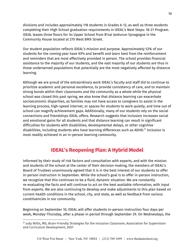divisions and includes approximately 118 students in Grades 6-12, as well as three students completing their High School graduation requirements in IDEAL's Next Steps: 18-21 Program. IDEAL leases three floors for its Upper School from B'nai Jeshurun Synagogue in the Community House located at 270 West 89th Street.

Our student population reflects IDEAL's mission and purpose. Approximately 53% of our students for the coming year have IEPs and benefit and learn best from the reinforcement and reminders that are most effectively provided in person. The school provides financial assistance to the majority of our students, and the vast majority of our students are thus in those underserved populations that potentially are the most negatively affected by distance learning.

Although we are proud of the extraordinary work IDEAL's faculty and staff did to continue to prioritize academic and personal excellence, to provide consistency of care, and to maintain strong bonds within their classrooms and the community as a whole while the physical school was closed this past spring, we also know that distance learning can exacerbate socioeconomic disparities, as families may not have access to caregivers to assist in the learning process, high-speed internet, or spaces for students to work quietly, and time out of school can magnify achievement gaps. Additionally, many of our students rely on the social connections and friendships IDEAL offers. Research suggests that inclusion increases social and emotional gains for all students and that distance learning can result in significant difficulties for students with disabilities, developmental delays, or other cognitive disabilities, including students who have learning differences such as ADHD.<sup>21</sup> Inclusion is most readily achieved in an in-person learning community.

# **IDEAL's Reopening Plan: A Hybrid Model**

<span id="page-10-0"></span>Informed by their study of risk factors and consultation with experts, and with the mission and students of the school at the center of their decision-making, the members of IDEAL's Board of Trustees unanimously agreed that it is in the best interest of our students to offer in-person instruction in September. While the school's goal is to offer in-person instruction, we recognize that this continues to be a fluid, dynamic situation. We are constantly re-evaluating the facts and will continue to act on the best available information, with input from experts. We are also continuing to develop and make adjustments to this plan based on current health conditions in the school, city, and state, as well as feedback from various constituencies in our community.

Beginning on September 10, IDEAL will offer students in-person instruction four days per week, Monday-Thursday, after a phase-in period through September 29. On Wednesdays, the

<sup>21</sup> Judy Willis, MD, Brain-Friendly Strategies for the Inclusion Classroom, Association for Supervision and Curriculum Development, 2007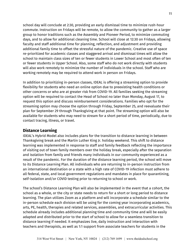school day will conclude at 2:30, providing an early dismissal time to minimize rush-hour commute. Instruction on Fridays will be remote, to allow the community to gather as a larger group to honor traditions such as the Assembly and Pioneer Period, to minimize commuting days, and to allow for additional cleaning time. School will close at 12:30 on Fridays, allowing faculty and staff additional time for planning, reflection, and adjustment and providing additional family time to offset the stressful nature of the pandemic. Creative use of space re-prioritized for academic classes and staggered arrival and dismissal times will allow the school to maintain class sizes of ten or fewer students in Lower School and most often of ten or fewer students in Upper School. Also, some staff who do not work directly with students will also work remotely to minimize the number of individuals in the school. Staff who are working remotely may be required to attend work in person on Fridays.

In addition to prioritizing in-person classes, IDEAL is offering a streaming option to provide flexibility for students who need an online option due to preexisting health conditions or other concerns or who are at greater risk from COVID-19. All families seeking the streaming option will be required to contact the Head of School no later than Monday, August 17, to request this option and discuss reimbursement considerations. Families who opt for the streaming option may choose the option through Friday, September 25, and reevaluate their plan for September 29 through Thanksgiving at that point. The streaming option will also be available for students who may need to stream for a short period of time, periodically, due to contact tracing, illness, or travel.

### <span id="page-11-0"></span>**Distance Learning**

IDEAL's Hybrid Model also includes plans for the transition to distance learning in between Thanksgiving break and the Martin Luther King Jr. holiday weekend. This shift to distance learning was implemented in response to staff and family feedback reflecting the importance of visiting out of town family members over the holiday break, especially after the separation and isolation from family and friends many individuals in our community experienced as a result of the pandemic. For the duration of the distance learning period, the school will move to its Distance Learning Plan. All individuals who are returning to in-person instruction from an international destination or a state with a high rate of COVID-19 infection must adhere to all federal, state, and local government regulations and mandates in place for quarantining, self-isolation and/or COVID testing prior to returning to school or work.

The school's Distance Learning Plan will also be implemented in the event that a cohort, the school as a whole, or the city or state needs to return for a short or long period to distance learning. The plan utilizes Zoom as a platform and will incorporate a schedule similar to the in-person schedule each division will be using for the coming year incorporating academics, arts, PE, health, therapies and related services, assemblies, and extracurricular activities. This schedule already includes additional planning time and community time and will be easily adapted and distributed prior to the start of school to allow for a seamless transition to distance learning if needed. It emphasizes live, daily instruction and interaction with teachers and therapists, as well as 1:1 support from associate teachers for students in the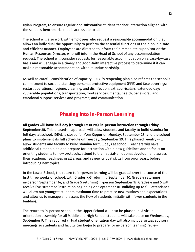Dylan Program, to ensure regular and substantive student-teacher interaction aligned with the school's benchmarks that is accessible to all.

The school will also work with employees who request a reasonable accommodation that allows an individual the opportunity to perform the essential functions of their job in a safe and efficient manner. Employees are directed to inform their immediate supervisor or the Human Resources Director, who will inform the Head of School of any accommodation request. The school will consider requests for reasonable accommodation on a case-by-case basis and will engage in a timely and good-faith interactive process to determine if it can make a reasonable accommodation without undue hardship.

As well as careful consideration of capacity, IDEAL's reopening plan also reflects the school's commitment to social distancing; personal protective equipment (PPE) and face coverings; restart operations; hygiene, cleaning, and disinfection; extracurriculars; extended day; vulnerable populations; transportation; food services, mental health, behavioral, and emotional support services and programs; and communication.

# **Phasing Into In-Person Learning**

### <span id="page-12-0"></span>**All grades will have half-day (through 12:30 PM), in-person instruction through Friday, September 25.** This phased-in approach will allow students and faculty to build stamina for full days at school. IDEAL is closed for Yom Kippur on Monday, September 28, and the school plans to implement its full schedule on Tuesday, September 29. This phased reentry will allow students and faculty to build stamina for full days at school. Teachers will have additional time to plan and prepare for instruction within new guidelines and to focus on orienting students to new protocols, attend to their social-emotional development, assess their academic readiness in all areas, and review critical skills from prior years, before introducing new topics.

In the Lower School, the return to in-person learning will be gradual over the course of the first three weeks of school, with Grades K-3 returning September 10, Grade 4 returning in-person September 14, and Grade 5 returning in-person September 17. Grades 4 and 5 will receive live-streamed instruction beginning on September 10. Building up to full attendance will allow our youngest students maximum time to practice new routines and expectations and allow us to manage and assess the flow of students initially with fewer students in the building.

The return to in-person school in the Upper School will also be phased in. A virtual orientation assembly for all Middle and High School students will take place on Wednesday, September 9. This required virtual student orientation day will also include virtual advisory meetings so students and faculty can begin to prepare for in-person learning, review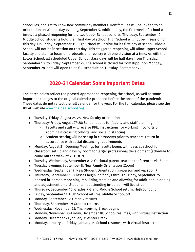schedules, and get to know new community members. New families will be invited to an orientation on Wednesday evening, September 9. Additionally, the first week of school will involve a phased reopening for the two Upper School cohorts. Thursday, September 10, Middle School students hold their first day of school; High School will not be in session on this day. On Friday, September 11, High School will arrive for its first day of school; Middle School will not be in session on this day. This staggered reopening will allow Upper School faculty and staff to focus on protocols and reentry with one division at a time. As with the Lower School, all scheduled Upper School class days will be half days from Thursday, September 10, to Friday, September 25. The school is closed for Yom Kippur on Monday, September 28, and will open to its full schedule on Tuesday, September 29.

## **2020-21 Calendar: Some Important Dates**

<span id="page-13-0"></span>The dates below reflect the phased-approach to reopening the school, as well as some important changes to the original calendar proposed before the onset of the pandemic. These dates do not reflect the full calendar for the year. For the full calendar, please see the IDEAL website [www.theidealschool.org.](https://www.theidealschool.org/about/reopening-plan)

- Tuesday-Friday, August 25-28: New faculty orientation
- Thursday-Friday, August 27-28: School opens for faculty and staff planning
	- Faculty and staff will receive PPE, instructions for working in cohorts or zooming if crossing cohorts, and social distancing
	- Student seating will be set up in classrooms prior to teachers' return in accordance with social distancing requirements
- Monday, August 31: Opening Meetings for faculty begin, with days at school for classroom set up and days by Zoom for larger professional development (schedule to come out the week of August 7)
- Tuesday-Wednesday, September 8-9: Optional parent-teacher conferences via Zoom
- Tuesday evening, September 8: New Family Orientation (Zoom)
- Wednesday, September 9: New Student Orientation (in-person and via Zoom)
- Thursday, September 10: Classes begin, half days through Friday, September 25, phased in-person reopening, rebuilding stamina and allowing for additional planning and adjustment time. Students not attending in-person will live stream
- Thursday, September 10: Grades K-3 and Middle School return, High School off
- Friday, September 11: High School returns, Middle School off
- Monday, September 14: Grade 4 returns
- Thursday, September 17: Grade 5 returns
- Wednesday, November 25: Thanksgiving Break begins
- Monday, November 30-Friday, December 18: School resumes, with virtual instruction
- Monday, December 21-January 3: Winter Break
- Monday, January 4 Friday, January 15: School resumes, with virtual instruction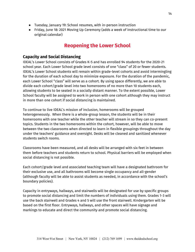- Tuesday, January 19: School resumes, with in-person instruction
- Friday, June 18: 2021 Moving Up Ceremony (adds a week of instructional time to our original calendar)

## **Reopening the Lower School**

### <span id="page-14-1"></span><span id="page-14-0"></span>**Capacity and Social Distancing**

IDEAL's Lower School consists of Grades K-5 and has enrolled 94 students for the 2020-21 school year. Each Lower School grade level consists of one "class" of 20 or fewer students. IDEAL's Lower School students will remain within grade-level cohorts and avoid intermingling for the duration of each school day to minimize exposure. For the duration of the pandemic, each Lower School "class" will serve as a cohort. By using space differently, we are able to divide each cohort/grade level into two homerooms of no more than 10 students each, allowing students to be seated in a socially distant manner. To the extent possible, Lower School faculty will be assigned to work in person with one cohort although they may instruct in more than one cohort if social distancing is maintained.

To continue to live IDEAL's mission of inclusion, homerooms will be grouped heterogeneously. When there is a whole-group lesson, the students will be in their homerooms with one teacher while the other teacher will stream in so they can co-present topics. Students in the two homerooms within the cohort, however, will be able to move between the two classrooms when directed to learn in flexible groupings throughout the day under the teachers' guidance and oversight. Desks will be cleaned and sanitized whenever students switch rooms.

Classrooms have been measured, and all desks will be arranged with six feet in between them before teachers and students return to school. Physical barriers will be employed when social distancing is not possible.

Each cohort/grade level and associated teaching team will have a designated bathroom for their exclusive use, and all bathrooms will become single occupancy and all-gender (although faculty will be able to assist students as needed, in accordance with the school's boundary policies).

Capacity in entryways, hallways, and stairwells will be designated for use by specific groups to promote social distancing and limit the numbers of individuals using them. Grades 1-3 will use the back stairwell and Grades 4 and 5 will use the front stairwell. Kindergarten will be based on the first floor. Entryways, hallways, and other spaces will have signage and markings to educate and direct the community and promote social distancing.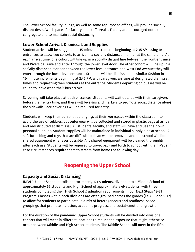The Lower School faculty lounge, as well as some repurposed offices, will provide socially distant desks/workspaces for faculty and staff breaks. Faculty are encouraged not to congregate and to maintain social distancing.

### <span id="page-15-0"></span>**Lower School Arrival, Dismissal, and Supplies**

Student arrival will be staggered in 15-minute increments beginning at 7:45 AM, using two entrances to allow two cohorts to arrive in a socially distanced manner at the same time. At each arrival time, one cohort will line up in a socially distant line between the front entrance and Riverside Drive and enter through the lower level door. The other cohort will line up in a socially distanced manner between the lower level entrance and West End Avenue; they will enter through the lower level entrance. Students will be dismissed in a similar fashion in 15-minute increments beginning at 2:45 PM, with caregivers arriving at designated dismissal times and requesting their students at the entrance. Students departing on busses will be called to leave when their bus arrives.

Screening will take place at both entrances. Students will wait outside with their caregivers before their entry time, and there will be signs and markers to promote social distance along the sidewalk. Face coverings will be required for entry.

Students will keep their personal belongings at their workspace within the classroom to avoid the use of cubbies, but outerwear will be collected and stored in plastic bags at arrival and redistributed at dismissal. All students, faculty, and staff will have and use their own personal supplies. Student supplies will be maintained in individual supply bins at school. All soft furnishing and toys that are difficult to clean will be removed, and the school will limit shared equipment whenever possible. Any shared equipment will be cleaned thoroughly after each use. Students will be required to travel back and forth to school with their iPads in case circumstances require them to stream from home the following day.

# **Reopening the Upper School**

## <span id="page-15-2"></span><span id="page-15-1"></span>**Capacity and Social Distancing**

IDEAL's Upper School enrolls approximately 121 students, divided into a Middle School of approximately 69 students and High School of approximately 49 students, with three students completing their High School graduation requirements in our Next Steps 18-21 Program. Classes within both divisions are often grouped across the grades (i.e. 6-8 and 9-12) to allow for students to participate in a mix of heterogeneous and readiness-based groupings that promote inclusion, academic progress, and social-emotional growth.

For the duration of the pandemic, Upper School students will be divided into divisional cohorts that will meet in different locations to reduce the exposure that might otherwise occur between Middle and High School students. The Middle School will meet in the fifth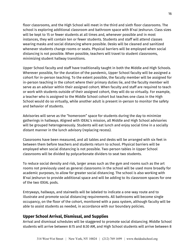floor classrooms, and the High School will meet in the third and sixth floor classrooms. The school is exploring additional classroom and bathroom space with B'nai Jeshurun. Class sizes will be kept to 15 or fewer students at all times and, whenever possible and in most instances, they will contain ten or fewer students. Students and staff will attend classes wearing masks and social distancing where possible. Desks will be cleaned and sanitized whenever students change rooms or seats. Physical barriers will be employed when social distancing is not possible. When possible, teachers will travel to student classrooms, minimizing student hallway transitions.

Upper School faculty and staff have traditionally taught in both the Middle and High Schools. Wherever possible, for the duration of the pandemic, Upper School faculty will be assigned a cohort for in-person teaching. To the extent possible, the faculty member will be assigned for in-person teaching in the cohort where their primary duties lie, and the faculty member will serve as an advisor within their assigned cohort. When faculty and staff are required to teach or work with students outside of their assigned cohort, they will do so virtually. For example, a teacher who is assigned to the Middle School cohort but teaches one class in the High School would do so virtually, while another adult is present in-person to monitor the safety and behavior of students.

Advisories will serve as the "homeroom" space for students during the day to minimize gatherings in hallways. Aligned with IDEAL's mission, all Middle and High School advisories will be grouped heterogeneously. Students will eat lunch and enjoy social time in a socially distant manner in the lunch advisory (replacing recess).

Classrooms have been measured, and all tables and desks will be arranged with six feet in between them before teachers and students return to school. Physical barriers will be employed when social distancing is not possible. Two-person tables in Upper School classrooms will be divided by polycarbonate dividers to seat two students.

To reduce social density and risk, larger areas such as the gym and rooms such as the art rooms not previously used as general classrooms in the school will be used more broadly for academic purposes, to allow for greater social distancing. The school is also working with B'nai Jeshurun to provide additional space and will be adding to its classroom spaces for one of the two IDEAL pods.

Entryways, hallways, and stairwells will be labeled to indicate a one-way route and to illustrate and promote social distancing requirements. All bathrooms will become single occupancy, on the floor of the cohort, monitored with a pass system, although faculty will be able to assist students as needed, in accordance with our boundary policies.

## <span id="page-16-0"></span>**Upper School Arrival, Dismissal, and Supplies**

Arrival and dismissal schedules will be staggered to promote social distancing. Middle School students will arrive between 8:15 and 8:30 AM, and High School students will arrive between 8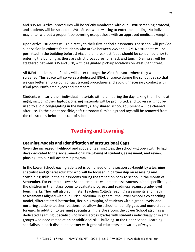and 8:15 AM. Arrival procedures will be strictly monitored with our COVID screening protocol, and students will be spaced on 89th Street when waiting to enter the building. No individual may enter without a proper face-covering except those with an approved medical exemption.

Upon arrival, students will go directly to their first period classrooms. The school will provide supervision in cohorts for students who arrive between 7:45 and 8 AM. No students will be permitted in the building before 8 AM, and all breakfast foods should be consumed prior to entering the building as there are strict procedures for snack and lunch. Dismissal will be staggered between 3:15 and 3:30, with designated pick-up locations on West 89th Street.

All IDEAL students and faculty will enter through the West Entrance where they will be screened. This space will serve as a dedicated IDEAL entrance during the school day so that we can better enforce our contact tracing procedures and avoid unnecessary contact with B'Nai Jeshurun's employees and members.

Students will carry their individual materials with them during the day, taking them home at night, including their laptops. Sharing materials will be prohibited, and lockers will not be used to avoid congregating in the hallways. Any shared school equipment will be cleaned after use. To the extent possible, soft classroom furnishings and toys will be removed from the classrooms before the start of school.

# **Teaching and Learning**

## <span id="page-17-1"></span><span id="page-17-0"></span>**Learning Models and Identification of Instructional Gaps**

Given the increased likelihood and scope of learning loss, the school will open with 14 half days dedicated to the social-emotional well-being of students, assessment, and review, phasing into our full academic program.

In the Lower School, each grade level is comprised of one section co-taught by a learning specialist and general educator who will be focused in partnership on assessing and scaffolding skills in their classrooms during the transition back to school in the month of September. For example, Lower School teachers will create assessments suited specifically to the children in their classrooms to evaluate progress and readiness against grade-level benchmarks. They will also administer Teachers College reading assessments and math assessments aligned with our Turk curriculum. In general, the Lower School's co-teaching model, differentiated instruction, flexible grouping of students within grade levels, and nurturing student-teacher relationships allow the school to identify gaps and move students forward. In addition to learning specialists in the classroom, the Lower School also has a dedicated Learning Specialist who works across grades with students individually or in small groups who need remediation or additional skill-building. In the Upper School, learning specialists in each discipline partner with general educators in a variety of ways.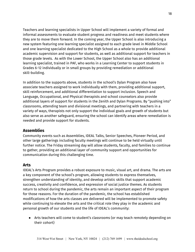Teachers and learning specialists in Upper School will implement a variety of formal and informal assessments to evaluate student progress and readiness and meet students where they are to move them forward. In the coming year, the Upper School is also introducing a new system featuring one learning specialist assigned to each grade level in Middle School and one learning specialist dedicated to the High School as a whole to provide additional academic supervision and support for students, as well as additional support for teachers in those grade levels. As with the Lower School, the Upper School also has an additional learning specialist, trained in PAF, who works in a Learning Center to support students in Grades 6-12 individually or in small groups by providing remediation or additional skill-building.

In addition to the supports above, students in the school's Dylan Program also have associate teachers assigned to work individually with them, providing additional support, skill reinforcement, and additional differentiation to support inclusion. Speech and Language, Occupational, and Physical therapists and school counselors also provide additional layers of support for students in the Zenith and Dylan Programs. By "pushing into" classrooms, attending team and divisional meetings, and partnering with teachers in a variety of ways, therapists not only support the individual goals and growth of students but also serve as another safeguard, ensuring the school can identify areas where remediation is needed and provide support for students.

### <span id="page-18-0"></span>**Assemblies**

Community events such as Assemblies, IDEAL Talks, Senior Speeches, Pioneer Period, and other large gatherings including faculty meetings will continue to be held virtually until further notice. The Friday streaming day will allow students, faculty, and families to continue to gather, providing an additional layer of community support and opportunities for communication during this challenging time.

### <span id="page-18-1"></span>**Arts**

IDEAL's Arts Program provides a robust exposure to music, visual art, and drama. The arts are a key component of the school's program, allowing students to express themselves, strengthen understanding of identity, and develop artistic skills that support academic success, creativity and confidence, and expression of social justice themes. As students return to school during the pandemic, the arts remain an important aspect of their program for those reasons. For the duration of the pandemic, the school has established modifications of how the arts classes are delivered will be implemented to promote safety while continuing to elevate the arts and the critical role they play in the academic and personal growth of our students and the life of IDEAL's community:

● Arts teachers will come to student's classrooms (or may teach remotely depending on their cohort)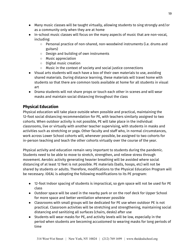- Many music classes will be taught virtually, allowing students to sing strongly and/or as a community only when they are at home
- In-school music classes will focus on the many aspects of music that are non-vocal, including:
	- Personal practice of non-shared, non-woodwind instruments (i.e. drums and guitars)
	- Design and building of own instruments
	- Music appreciation
	- Digital music creation
	- Music in the context of society and social justice connections
- Visual arts students will each have a box of their own materials to use, avoiding shared materials. During distance learning, these materials will travel home with students so that there are common tools available at home for all students in visual art
- Drama students will not share props or touch each other in scenes and will wear masks and maintain social distancing throughout the class

## <span id="page-19-0"></span>**Physical Education**

Physical education will take place outside when possible and practical, maintaining the 12-foot social distancing recommendation for PE, with teachers similarly assigned to two cohorts. When outdoor activity is not possible, PE will take place in the individual classrooms, live or virtually with another teacher supervising, with students in masks and activities such as stretching or yoga. Other faculty and staff who, in normal circumstances, work across Lower School cohorts will, whenever possible, be assigned to two cohorts for in-person teaching and teach the other cohorts virtually over the course of the year.

Physical activity and education remain very important to students during the pandemic. Students need to be able to move to stretch, strengthen, and relieve stress through movement. Aerobic activity generating heavier breathing will be avoided where social distancing of at least 12 feet is not possible. PE materials (balls, hoops, etc) will not be shared by students or adults. Therefore, modifications to the Physical Education Program will be necessary. IDEAL is adopting the following modifications to its PE program:

- 12-foot Indoor spacing of students is impractical, so gym space will not be used for PE class
- Outdoor space will be used in the nearby park or on the roof deck for Upper School for more space and better ventilation whenever possible
- Classrooms with small groups will be dedicated for PE use when outdoor PE is not practical. Classroom activities will be stretching and strengthening, maintaining social distancing and sanitizing all surfaces (chairs, desks) after use
- Students will wear masks for PE, and activity levels will be low, especially in the period when students are becoming accustomed to wearing masks for long periods of time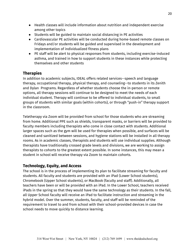- Health classes will include information about nutrition and independent exercise among other topics
- Students will be guided to maintain social distancing in PE activities
- Cardiovascular PE activities will be conducted during home-based remote classes on Fridays and/or students will be guided and supervised in the development and implementation of individualized fitness plans
- PE staff will be alert to physical responses from students, including exercise-induced asthma, and trained in how to support students in these instances while protecting themselves and other students

## <span id="page-20-0"></span>**Therapies**

In addition to academic subjects, IDEAL offers related services--speech and language therapy, occupational therapy, physical therapy, and counseling--to students in its Zenith and Dylan Programs. Regardless of whether students choose the in-person or remote options, all therapy sessions will continue to be designed to meet the needs of each individual student. Therapy will continue to be offered to individual students, to small groups of students with similar goals (within cohorts), or through "push-in" therapy support in the classroom.

Teletherapy via Zoom will be provided from school for those students who are streaming from home. Additional PPE such as shields, transparent masks, or barriers will be provided to faculty members including therapists who come in close contact with students. Additional larger spaces such as the gym will be used for therapies when possible, and surfaces will be cleaned and sanitized between sessions, and hygiene stations will be installed in all therapy rooms. As in academic classes, therapists and students will use individual supplies. Although therapists have traditionally crossed grade levels and divisions, we are working to assign therapists to cohorts to the greatest extent possible. In some instances, this may mean a student in school will receive therapy via Zoom to maintain cohorts.

## <span id="page-20-1"></span>**Technology, Equity, and Access**

The school is in the process of implementing its plan to facilitate streaming for faculty and students. All faculty and students are provided with an iPad (Lower School students), Chromebook (Upper School students), or MacBook (faculty and staff). Additionally, all teachers have been or will be provided with an iPad. In the Lower School, teachers received iPads in the spring so that they would have the same technology as their students. In the fall, all Upper School faculty will receive an iPad to facilitate instruction and streaming in the hybrid model. Over the summer, students, faculty, and staff will be reminded of the requirement to travel to and from school with their school-provided devices in case the school needs to move quickly to distance learning.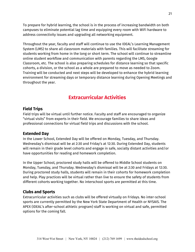To prepare for hybrid learning, the school is in the process of increasing bandwidth on both campuses to eliminate potential lag time and equipping every room with WiFi hardware to address connectivity issues and upgrading all networking equipment.

Throughout the year, faculty and staff will continue to use the IDEAL's Learning Management System (LMS) to share all classroom materials with families. This will facilitate streaming for students working from home in the long or short term. The school will continue to streamline online student workflow and communication with parents regarding the LMS, Google Classroom, etc. The school is also preparing schedules for distance learning so that specific cohorts, a division, or the school as a whole are prepared to move as needed to Zoom. Training will be conducted and next steps will be developed to enhance the hybrid learning environment for streaming days or temporary distance learning during Opening Meetings and throughout the year.

## **Extracurricular Activities**

### <span id="page-21-1"></span><span id="page-21-0"></span>**Field Trips**

Field trips will be virtual until further notice. Faculty and staff are encouraged to organize "virtual visits" from experts in their field. We encourage families to share ideas and professional connections for virtual field trips and discussions with the school.

#### <span id="page-21-2"></span>**Extended Day**

In the Lower School, Extended Day will be offered on Monday, Tuesday, and Thursday. Wednesday's dismissal will be at 2:30 and Friday's at 12:30. During Extended Day, students will remain in their grade level cohorts and engage in safe, socially distant activities and/or have opportunities for reading and homework completion.

In the Upper School, proctored study halls will be offered to Middle School students on Monday, Tuesday, and Thursday. Wednesday's dismissal will be at 2:30 and Fridays at 12:30. During proctored study halls, students will remain in their cohorts for homework completion and help. Play practices will be virtual rather than live to ensure the safety of students from different cohorts working together. No interschool sports are permitted at this time.

### <span id="page-21-3"></span>**Clubs and Sports**

Extracurricular activities such as clubs will be offered virtually on Fridays. No inter-school sports are currently permitted by the New York State Department of Health or NYSAIS. The APEX (IDEAL's after-school athletic program) staff is working on virtual and safe, permitted options for the coming fall.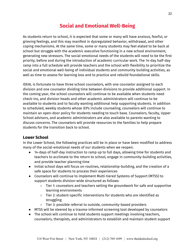# **Social and Emotional Well-Being**

<span id="page-22-0"></span>As students return to school, it is expected that some or many will have anxious, fearful, or grieving feelings, and this may manifest in dysregulated behavior, withdrawal, and other coping mechanisms. At the same time, some or many students may feel elated to be back at school but struggle with the academic executive functioning in a new school environment, generating new stressors. The social-emotional needs of the students will need to be the first priority, before and during the introduction of academic curricular work. The 14-day half-day ramp into a full schedule will provide teachers and the school with flexibility to prioritize the social and emotional well-being of individual students and community building activities, as well as time to assess for learning loss and to practice and rebuild foundational skills.

IDEAL is fortunate to have three school counselors, with one counselor assigned to each division and one counselor dividing time between divisions to provide additional support. In the coming year, the school counselors will continue to be available when students need check-ins, and division heads and other academic administrators will continue to be available to students and to faculty wanting additional help supporting students. In addition to scheduled, weekly students whose IEPs include counseling, counselors will continue to maintain an open-door policy for students needing to touch base. Counselors, faculty, Upper School advisors, and academic administrators are also available to parents wanting to discuss concerns. The counselors will provide resources to the families to help prepare students for the transition back to school.

## <span id="page-22-1"></span>**Lower School**

In the Lower School, the following practices will be in place or have been modified to address many of the social-emotional needs of our students when we reopen:

- 14-days of half-day instruction to ramp up to full days, allowing time for students and teachers to acclimate to the return to school, engage in community-building activities, and provide teacher planning time
- Initial school days will focus on routines, relationship-building, and the creation of a safe space for students to process their experiences
- Counselors will continue to implement Multi-tiered Systems of Support (MTSS) to support students division-wide structured as follows:
	- Tier 1: counselors and teachers setting the groundwork for safe and supportive learning environments
	- Tier 2: student-specific interventions for students who are identified as struggling
	- Tier 3: possible referral to outside, community-based providers
- MTSS will be steered by a trauma-informed screening tool developed by counselors
- The school will continue to hold students support meetings involving teachers, counselors, therapists, and administrators to establish and maintain student support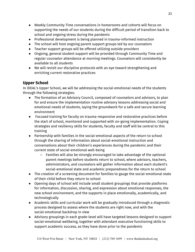- Weekly Community Time conversations in homerooms and cohorts will focus on supporting the needs of our students during the difficult period of transition back to school and ongoing stress during the pandemic
- Professional development is being planned in trauma-informed instruction
- The school will host ongoing parent support groups led by our counselors
- Teacher support groups will be offered utilizing outside providers
- Ongoing, general student support will be provided through Community Time and regular counselor attendance at morning meetings. Counselors will consistently be available to all students
- We will revisit our discipline protocols with an eye toward strengthening and enriching current restorative practices

## <span id="page-23-0"></span>**Upper School**

In IDEAL's Upper School, we will be addressing the social-emotional needs of the students through the following strategies:

- The formation of an Advisory Council, composed of counselors and advisors, to plan for and ensure the implementation routine advisory lessons addressing social and emotional needs of students, laying the groundwork for a safe and secure learning environment
- Focused training for faculty on trauma-responsive and restorative practices before the start of school, monitored and supported with on-going implementation. Coping strategies and resiliency skills for students, faculty and staff will be central to this training
- Partnership with families in the social-emotional aspects of the return to school through the sharing of information about social-emotional instruction and conversations about their children's experiences during the pandemic and their current state of social-emotional well-being
	- Families will also be strongly encouraged to take advantage of the optional parent meetings before students return to school, where advisors, teachers, administrators, and counselors will gather information about each student's social-emotional state and academic preparedness for the return to school
- The creation of a screening document for families to gauge the social-emotional state of their child before they return to school
- Opening days of school will include small student groupings that provide platforms for information, discussion, sharing, and expression about emotional responses, the new school environment, and the supports in place emotionally, academically, and technologically
- Academic skills and curricular work will be gradually introduced through a diagnostic process designed to assess where the students are right now, and with the social-emotional backdrop in view
- Advisory groupings in each grade-level will have targeted lessons designed to support social-emotional wellbeing, together with attendant executive functioning skills to support academic success, as they have done prior to the pandemic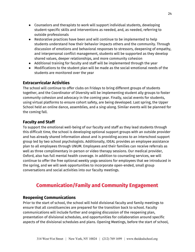- Counselors and therapists to work will support individual students, developing student-specific skills and interventions as needed, and, as needed, referring to outside professionals
- Restorative practices have been and will continue to be implemented to help students understand how their behavior impacts others and the community. Through discussion of emotions and behavioral responses to stressors, deepening of empathy, and interpersonal conflict management, students will be supported as they develop shared values, deeper relationships, and more community cohesion
- Additional training for faculty and staff will be implemented through the year
- Modifications to the student plan will be made as the social-emotional needs of the students are monitored over the year

## <span id="page-24-0"></span>**Extracurricular Activities**

The school will continue to offer clubs on Fridays to bring different groups of students together, and the Coordinator of Diversity will be implementing student ally groups to foster community cohesion and advocacy in the coming year. Finally, social events for students, using virtual platforms to ensure cohort safety, are being developed. Last spring, the Upper School held an online dance, assemblies, and a sing-along. Similar events will be planned for the coming fall.

## <span id="page-24-1"></span>**Faculty and Staff**

To support the emotional well-being of our faculty and staff as they lead students through this difficult time, the school is developing optional support groups with an outside provider and has already shared information about and is providing access to an interschool support group led by two school psychologists. Additionally, IDEAL provides an employee assistance plan to all employees through UNUM. Employees and their families can receive referrals as well as three complimentary in-person or video therapy sessions. Our medical provider, Oxford, also has full mental health coverage. In addition to counseling services, we will continue to offer the free optional weekly yoga sessions for employees that we introduced in the spring, and we will seek opportunities to incorporate open-ended, small group conversations and social activities into our faculty meetings.

# **Communication/Family and Community Engagement**

## <span id="page-24-3"></span><span id="page-24-2"></span>**Reopening Communications**

Prior to the start of school, the school will hold divisional faculty and family meetings to ensure that all constituencies are prepared for the transition back to school. Faculty communications will include further and ongoing discussion of the reopening plan, presentation of divisional schedules, and opportunities for collaboration around specific aspects of the divisional schedules and plans. Opening Meetings, before the start of school,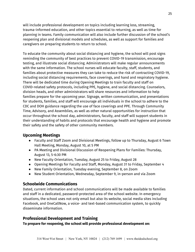will include professional development on topics including learning loss, streaming, trauma-informed education, and other topics essential to returning, as well as time for planning in teams. Family communication will also include further discussion of the school's reopening plan and divisional models and schedules, as well as support for families and caregivers on preparing students to return to school.

To educate the community about social distancing and hygiene, the school will post signs reminding the community of best practices to prevent COVID-19 transmission, encourage testing, and illustrate social distancing. Administrators will make regular announcements with the same information. The school nurses will educate faculty, staff, students, and families about protective measures they can take to reduce the risk of contracting COVID-19, including social distancing requirements, face coverings, and hand and respiratory hygiene. There will be dedicated time during Opening Meetings to train faculty and staff on COVID-related safety protocols, including PPE, hygiene, and social distancing. Counselors, division heads, and other administrators will share resources and information to help families prepare for the upcoming year. Signage, written communication, and presentations for students, families, and staff will encourage all individuals in the school to adhere to the CDC and DOH guidance regarding the use of face coverings and PPE. Through Community Time, Advisory, and Assemblies, as well as other natural opportunities for instruction that occur throughout the school day, administrators, faculty, and staff will support students in their understanding of habits and protocols that encourage health and hygiene and promote their safety and the safety of other community members.

## <span id="page-25-0"></span>**Upcoming Meetings**

- Faculty and Staff Zoom and Divisional Meetings, follow up to Thursday, August 6 Town Hall Meeting, Monday, August 10, at 5 PM
- PA Meeting and Divisional Discussion of Reopening Plans for Families: Thursday, August 13, 5-6:30 PM
- New Faculty Orientation, Tuesday, August 25 to Friday, August 28
- Opening Meetings for Faculty and Staff, Monday, August 31 to Friday, September 4
- New Family Orientation, Tuesday evening, September 8, on Zoom
- New Student Orientation, Wednesday, September 9, in-person and via Zoom

## <span id="page-25-1"></span>**Schoolwide Communications**

Dated, current information and school communications will be made available to families and staff in a dedicated, password-protected area of the school website. In emergency situations, the school uses not only email but also its website, social media sites including Facebook, and OneCallNow, a voice- and text-based communication system, to quickly disseminate information.

## <span id="page-25-2"></span>**Professional Development and Training**

**To prepare for reopening, the school will provide professional development on:**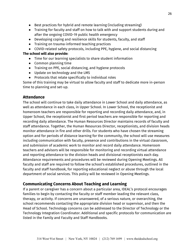- Best practices for hybrid and remote learning (including streaming)
- Training for faculty and staff on how to talk with and support students during and after the ongoing COVID-19 public health emergency
- Developing coping and resilience skills for students, faculty, and staff
- Training on trauma-informed teaching practices
- COVID-related safety protocols, including PPE, hygiene, and social distancing

### **The school will also provide:**

- Time for our learning specialists to share student information
- Common planning time
- Training on PPE, social distancing, and hygiene protocols
- Update on technology and the LMS
- Protocols that relate specifically to individual roles

Some of this training may be virtual to allow faculty and staff to dedicate more in-person time to planning and set-up.

### <span id="page-26-0"></span>**Attendance**

The school will continue to take daily attendance in Lower School and daily attendance, as well as attendance in each class, in Upper School. In Lower School, the receptionist and homeroom teachers are responsible for reporting and recording daily attendance, and, in Upper School, the receptionist and first period teachers are responsible for reporting and recording daily attendance. The Human Resources Director maintains records of faculty and staff attendance. Together, the Human Resources Director, receptionists, and division heads monitor attendance in fire and other drills. For students who have chosen the streaming option and for periods of distance learning for the community, the school will use measures including communication with faculty, presence and contributions in the virtual classroom, and submission of academic work to monitor and record daily attendance. Homeroom teachers and advisors will be responsible for monitoring and recording virtual attendance and reporting attendance to the division heads and divisional receptionists each day. Attendance requirements and procedures will be reviewed during Opening Meetings. All faculty and staff are required to follow the school's established procedures, outlined in the faculty and staff handbook, for reporting educational neglect or abuse through the local department of social services. This policy will be reviewed in Opening Meetings.

## <span id="page-26-1"></span>**Communicating Concerns About Teaching and Learning**

If a parent or caregiver has a concern about a particular area, IDEAL's protocol encourages families to begin by contacting the faculty or staff member leading the relevant class, therapy, or activity. If concerns are unanswered, of a serious nature, or overarching, the school recommends contacting the appropriate division head or supervisor, and then the Head of School. Technology concerns can be addressed to the Director of Technology or the Technology Integration Coordinator. Additional and specific protocols for communication are listed in the Family and Faculty and Staff Handbooks.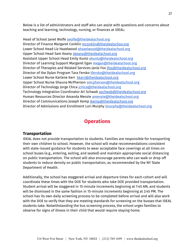Below is a list of administrators and staff who can assist with questions and concerns about teaching and learning, technology, nursing, or finances at IDEAL:

Head of School Janet Wolfe [jwolfe@theidealschool.org](mailto:jwolfe@theidealschool.org) Director of Finance Margaret Conklin [mconklin@theidealschoo.org](mailto:mconklin@theidealschoo.org) Lower School Head Liz Hazelwood [ehazelwood@theidealschool.org](mailto:ehazelwood@theidealschool.org) Upper School Head Sam Keany [skeany@theidealschool.org](mailto:skeany@theidealschool.org) Assistant Upper School Head Emily Kuntz [ekuntz@theidealschool.org](mailto:ekuntz@theidealschool.org) Director of Learning Support Margaret Egan [megan@theidealschool.org](mailto:megan@theidealschool.org) Director of Therapies and Related Services Janie Fox [jfox@theidealschool.org](mailto:jfox@theidealschool.org) Director of the Dylan Program Tara Fersko [tfersko@theidealschool.org](mailto:tfersko@theidealschool.org) Lower School Nurse Karlene Kerr [kkerr@theidealschool.org](mailto:kkerr@theidealschool.org) Upper School Nurse Shauna McPherson [smcpherson@theidealschool.org](mailto:smcpherson@theidealschool.org) Director of Technology Jorge Chica [jchica@theidealschool.org](mailto:jchica@theidealschool.org) Technology Integration Coordinator Ari Schwab [aschwab@theidealschool.org](mailto:aschwab@theidealschool.org) Human Resources Director Amanda Menzie [amenzie@theidealschool.org](mailto:amenzie@theidealschool.org) Director of Communications Joseph Kemp *ikemp@theidealschool.org* Director of Admissions and Enrollment Lori Murphy **Imurphy@theidealschool.org** 

# **Operations**

### <span id="page-27-1"></span><span id="page-27-0"></span>**Transportation**

IDEAL does not provide transportation to students. Families are responsible for transporting their own children to school. However, the school will make recommendations consistent with state-issued guidance for students to wear acceptable face coverings at all times on school buses (e.g., entering, exiting, and seated) and maintain appropriate social distancing on public transportation. The school will also encourage parents who can walk or drop off students to reduce density on public transportation, as recommended by the NY State Department of Health.

Additionally, the school has staggered arrival and departure times for each cohort and will coordinate these times with the DOE for students who take DOE provided transportation. Student arrival will be staggered in 15-minute increments beginning at 7:45 AM, and students will be dismissed in the same fashion in 15-minute increments beginning at 2:45 PM. The school has its own daily screening process to be completed before arrival and will also work with the DOE to verify that they are meeting standards for screening on the busses that IDEAL students take. Notwithstanding the bus screening process, the school urges families to observe for signs of illness in their child that would require staying home.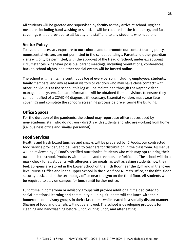All students will be greeted and supervised by faculty as they arrive at school. Hygiene measures including hand washing or sanitizer will be required at the front entry, and face coverings will be provided to all faculty and staff and to any students who need one.

## <span id="page-28-0"></span>**Visitor Policy**

To avoid unnecessary exposure to our cohorts and to promote our contact tracing policy, nonessential visitors are not permitted in the school buildings. Parent and other guardian visits will only be permitted, with the approval of the Head of School, under exceptional circumstances. Whenever possible, parent meetings, including orientations, conferences, back to school nights, and other special events will be hosted online.

The school will maintain a continuous log of every person, including employees, students, family members, and any essential visitors or vendors who may have close contact\* with other individuals at the school; this log will be maintained through the Raptor visitor management system. Contact information will be obtained from all visitors to ensure they can be notified of a COVID-19 diagnosis if necessary. Essential vendors must wear face coverings and complete the school's screening process before entering the building.

## <span id="page-28-1"></span>**Office Spaces**

For the duration of the pandemic, the school may repurpose office spaces used by non-academic staff who do not work directly with students and who are working from home (i.e. business office and similar personnel).

## <span id="page-28-2"></span>**Food Services**

Healthy and fresh boxed lunches and snacks will be prepared by JC Foods, our contracted food service provider, and delivered to teachers for distribution in the classroom. All menus will be reviewed by JC Food's certified nutritionist. Students who wish may opt to bring their own lunch to school. Products with peanuts and tree nuts are forbidden. The school will do a mask check for all students with allergies after meals, as well as asking students how they feel. Epi-pens are stored in the Lower School on the fifth floor near the gym and in the lower level Nurse's Office and in the Upper School in the sixth floor Nurse's Office, at the fifth-floor security desk, and in the technology office near the gym on the third floor. All students will be required to stay on campus for lunch until further notice.

Lunchtime in homeroom or advisory groups will provide additional time dedicated to social-emotional learning and community building. Students will eat lunch with their homeroom or advisory groups in their classrooms while seated in a socially distant manner. Sharing of food and utensils will not be allowed. The school is developing protocols for cleaning and handwashing before lunch, during lunch, and after eating.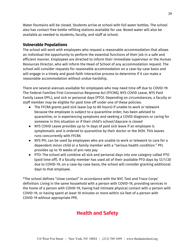Water fountains will be closed. Students arrive at school with full water bottles. The school also has contact-free bottle refilling stations available for use. Boxed water will also be available as needed to students, faculty, and staff at school.

## <span id="page-29-0"></span>**Vulnerable Populations**

The school will work with employees who request a reasonable accommodation that allows an individual the opportunity to perform the essential functions of their job in a safe and efficient manner. Employees are directed to inform their immediate supervisor or the Human Resources Director, who will inform the Head of School of any accommodation request. The school will consider requests for reasonable accommodation on a case-by-case basis and will engage in a timely and good-faith interactive process to determine if it can make a reasonable accommodation without undue hardship.

There are several avenues available for employees who may need time off due to COVID-19: The Federal Families First Coronavirus Response Act (FFCRA), NYS COVID Leave, NYS Paid Family Leave (PFL), and sick or personal days (PTO). Depending on circumstances, a faculty or staff member may be eligible for paid time off under one of these policies:

- The FFCRA grants paid sick leave (up to 80 hours) if unable to work or telework because the employee is subject to a quarantine order, has been advised to quarantine, or is experiencing symptoms and seeking a COVID diagnosis or caring for someone in this situation or if their child's school/daycare is closed
- NYS COVID Leave provides up to 14 days of paid sick leave if an employee is symptomatic and is ordered to quarantine by their doctor or the DOH. This leaves runs concurrently with FFCRA
- NYS PFL can be used by employees who are unable to work or telework to care for a dependent minor child or a family member with a "serious health condition." PFL provides up to 10 weeks of pro-rata pay
- PTO: The school will combine all sick and personal days into one category called PTO (paid time off). If a faculty member has used all of their available PTO days by 12/1/20 due to COVID-19, on a case-by-case basis, the school will consider granting additional days to that employee.

<span id="page-29-1"></span>\*The school defines "close contact" in accordance with the NYC Test and Trace Corps' definition: Living in the same household with a person with COVID-19, providing services in the home of a person with COVID-19, having had intimate physical contact with a person with COVID-19, or having spent at least 10 minutes or more within six feet of a person with COVID-19 without appropriate PPE.

# **Health and Safety**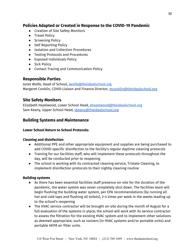## <span id="page-30-0"></span>**Policies Adapted or Created in Response to the COVID-19 Pandemic**

- Creation of Site Safety Monitors
- Travel Policy
- Screening Policy
- Self Reporting Policy
- Isolation and Collection Procedures
- Testing Protocols and Procedures
- Exposed Individuals Policy
- Sick Policy
- Contact Tracing and Communication Policy

### <span id="page-30-1"></span>**Responsible Parties**

Janet Wolfe, Head of School, [jwolfe@theidealschool.org](mailto:jwolfe@theidealschool.org) Margaret Conklin, COVID Liaison and Finance Director, [mconklin@theidealschool.org](mailto:mconklin@theidealschool.org)

### <span id="page-30-2"></span>**Site Safety Monitors**

Elizabeth Hazelwood, Lower School Head, [ehazelwood@theidealschool.org](mailto:ehazelwood@theidealschool.org) Sam Keany, Upper School Head, [skeany@theidealschool.org](mailto:skeany@theidealschool.org)

### <span id="page-30-3"></span>**Building Systems and Maintenance**

### **Lower School Return to School Protocols:**

### **Cleaning and disinfection**

- Additional PPE and other appropriate equipment and supplies are being purchased to add COVID-specific disinfection to the facility's regular daytime cleaning protocols
- Training for our facilities staff, who will implement these protocols throughout the day, will be conducted prior to reopening
- The school is working with its contracted cleaning service, Tristate Cleaning, to implement disinfection protocols to their nightly cleaning routine

### **Building systems**

- As there has been essential facilities staff presence on-site for the duration of the pandemic, the water system was never completely shut down. The facilities team will begin flushing the building water system, per EPA recommendations (by running all hot and cold taps and flushing all toilets), 2-4 times per week in the weeks leading up to the school's reopening
- The HVAC service contractor will be brought on-site during the month of August for a full evaluation of the systems in place; the school will work with its service contractor to assess the filtration for the existing HVAC system and to implement other solutions as deemed appropriate, such as ionizers (in HVAC systems and/or portable units) and portable HEPA air filter units.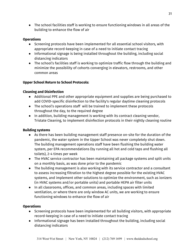● The school facilities staff is working to ensure functioning windows in all areas of the building to enhance the flow of air

### **Operations**

- Screening protocols have been implemented for all essential school visitors, with appropriate record-keeping in case of a need to initiate contact tracing
- Informational signage is being installed throughout the building, including social distancing indicators
- The school's facilities staff is working to optimize traffic flow through the building and minimize the possibility of cohorts converging in elevators, restrooms, and other common areas

### **Upper School Return to School Protocols:**

### **Cleaning and Disinfection**

- Additional PPE and other appropriate equipment and supplies are being purchased to add COVID-specific disinfection to the facility's regular daytime cleaning protocols
- The school's operations staff will be trained to implement these protocols throughout the day, to the required degree
- In addition, building management is working with its contract cleaning vendor, Tristate Cleaning, to implement disinfection protocols in their nightly cleaning routine

### **Building systems**

- As there has been building management staff presence on-site for the duration of the pandemic, the water system in the Upper School was never completely shut down. The building management operations staff have been flushing the building water system, per EPA recommendations (by running all hot and cold taps and flushing all toilets), 2-4 times per week
- The HVAC service contractor has been maintaining all package systems and split units on a monthly basis, as was done prior to the pandemic
- The building management is also working with its service contractor and a consultant to assess increasing filtration to the highest degree possible for the existing HVAC systems, and implement other solutions to optimize the environment, such as ionizers (in HVAC systems and/or portable units) and portable HEPA air filter units
- In all classrooms, offices, and common areas, including spaces with limited ventilation, or where there are only window AC units, we are working to ensure functioning windows to enhance the flow of air

### **Operations**

- Screening protocols have been implemented for all building visitors, with appropriate record-keeping in case of a need to initiate contact tracing
- Informational signage has been installed throughout the building, including social distancing indicators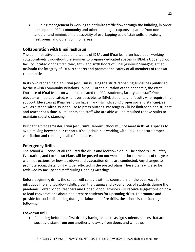● Building management is working to optimize traffic flow through the building, in order to keep the IDEAL community and other building occupants separate from one another and minimize the possibility of overlapping use of stairwells, elevators, restrooms, and other common areas

### <span id="page-32-0"></span>**Collaboration with B'nai Jeshurun**

The administrative and leadership teams of IDEAL and B'nai Jeshurun have been working collaboratively throughout the summer to prepare dedicated spaces in IDEAL's Upper School facility, located on the first, third, fifth, and sixth floors of B'nai Jeshurun Synagogue that maintain the integrity of IDEAL's cohorts and promote the safety of all members of the two communities.

In its own reopening plan, B'nai Jeshurun is using the strict reopening guidelines published by the Jewish Community Relations Council. For the duration of the pandemic, the West Entrance of B'nai Jeshurun will be dedicated to IDEAL students, faculty, and staff. One elevator will be dedicated, whenever possible, to IDEAL students and faculty who require this support. Elevators at B'nai Jeshurun have markings indicating proper social distancing, as well as a stand with tissues to use to press buttons. Passengers will be limited to one student and teacher at a time. All students and staff who are able will be required to take stairs to maintain social distancing.

During the first semester, B'nai Jeshurun's Hebrew School will not meet in IDEAL's spaces to avoid mixing between our cohorts. B'nai Jeshurun is working with IDEAL to ensure proper ventilation and cleaning in all of our spaces.

### <span id="page-32-1"></span>**Emergency Drills**

The school will conduct all required fire drills and lockdown drills. The school's Fire Safety, Evacuation, and Lockdown Plans will be posted on our website prior to the start of the year with instructions for how lockdown and evacuation drills are conducted. Any changes to promote social distancing will be reflected in the posted plans. These plans will also be reviewed by faculty and staff during Opening Meetings.

Before beginning drills, the school will consult with its counselors on the best ways to introduce fire and lockdown drills given the trauma and experiences of students during the pandemic. Lower School teachers and Upper School advisors will receive suggestions on how to lead conversations about and prepare students for upcoming drills. To promote and provide for social distancing during lockdown and fire drills, the school is considering the following:

#### **Lockdown Drill**

● Practicing before the first drill by having teachers assign students spaces that are socially distant from one another and away from doors and windows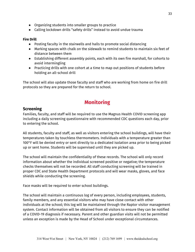- Organizing students into smaller groups to practice
- Calling lockdown drills "safety drills" instead to avoid undue trauma

#### **Fire Drill**

- Posting faculty in the stairwells and halls to promote social distancing
- Marking spaces with chalk on the sidewalk to remind students to maintain six feet of distance between them
- Establishing different assembly points, each with its own fire marshall, for cohorts to avoid intermingling
- Practicing drills with one cohort at a time to map out positions of students before holding an all-school drill

The school will also update those faculty and staff who are working from home on fire drill protocols so they are prepared for the return to school.

## **Monitoring**

### <span id="page-33-1"></span><span id="page-33-0"></span>**Screening**

Families, faculty, and staff will be required to use the Magnus Health COVID screening app including a daily screening questionnaire with recommended CDC questions each day, prior to entering the school.

All students, faculty and staff, as well as visitors entering the school buildings, will have their temperatures taken by touchless thermometers. Individuals with a temperature greater than 100°F will be denied entry or sent directly to a dedicated isolation area prior to being picked up or sent home. Students will be supervised until they are picked up.

The school will maintain the confidentiality of these records. The school will only record information about whether the individual screened positive or negative; the temperature checks themselves will not be recorded. All staff conducting screening will be trained in proper CDC and State Health Department protocols and will wear masks, gloves, and face shields while conducting the screening.

Face masks will be required to enter school buildings.

The school will maintain a continuous log of every person, including employees, students, family members, and any essential visitors who may have close contact with other individuals at the school; this log will be maintained through the Raptor visitor management system. Contact information will be obtained from all visitors to ensure they can be notified of a COVID-19 diagnosis if necessary. Parent and other guardian visits will not be permitted unless an exception is made by the Head of School under exceptional circumstances.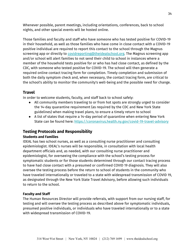Whenever possible, parent meetings, including orientations, conferences, back to school nights, and other special events will be hosted online.

Those families and faculty and staff who have someone who has tested positive for COVID-19 in their household, as well as those families who have come in close contact with a COVID-19 positive individual are required to report this contact to the school through the Magnus screening app or directly to [covidreporting@theidealschool.org.](mailto:covidreporting@theidealschool.org) The Magnus screening app and/or school will alert families to not send their child to school in instances where a member of the household tests positive for or who has had close contact, as defined by the CDC, with someone who tested positive for COVID-19. The school will then generate a required online contact tracing form for completion. Timely completion and submission of both the daily symptom check and, when necessary, the contact tracing form, are critical to the school's ability to monitor the community's well-being and the possible need for change.

## <span id="page-34-0"></span>**Travel**

In order to welcome students, faculty, and staff back to school safely:

- All community members traveling to or from hot spots are strongly urged to consider the 14-day quarantine requirement (as required by the CDC and New York State guidelines) when making travel plans, to ensure a timely return to school
- A list of states that require a 14-day period of quarantine when entering New York State can be found here: <https://coronavirus.health.ny.gov/covid-19-travel-advisory>

## <span id="page-34-1"></span>**Testing Protocols and Responsibility**

### **Students and Families**

IDEAL has two school nurses, as well as a consulting nurse practitioner and consulting epidemiologist. IDEAL's nurses will be responsible, in consultation with local health department officials and, as needed, with our consulting nurse practitioner and epidemiologist, for overseeing the compliance with the school's testing process for symptomatic students or for those students determined through our contact tracing process to have had close contact with a presumed or confirmed COVID 19 diagnosis. They will also oversee the testing process before the return to school of students in the community who have traveled internationally or traveled to a state with widespread transmission of COVID 19, as designated through the New York State Travel Advisory, before allowing such individuals to return to the school.

### **Faculty and Staff**

The Human Resources Director will provide referrals, with support from our nursing staff, for testing and will oversee the testing process as described above for symptomatic individuals, presumed positive individuals, or individuals who have traveled internationally or to a state with widespread transmission of COVID-19.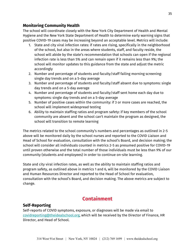### <span id="page-35-0"></span>**Monitoring Community Health**

The school will coordinate closely with the New York City Department of Health and Mental Hygiene and the New York State Department of Health to determine early warning signs that positive COVID-19 cases may be increasing beyond an acceptable level. Metrics will include:

- 1. State and city viral infection rates: if rates are rising, specifically in the neighborhood of the school, but also in the areas where students, staff, and faculty reside, the school will abide by the state's recommendation that schools can open if the regional infection rate is less than 5% and can remain open if it remains less than 9%; the school will monitor updates to this guidance from the state and adjust the metric accordingly
- 2. Number and percentage of students and faculty/staff failing morning screening: single day trends and on a 5-day average
- 3. Number and percentage of students and faculty/staff absent due to symptoms: single day trends and on a 5-day average
- 4. Number and percentage of students and faculty/staff sent home each day due to symptoms: single day trends and on a 5-day average
- 5. Number of positive cases within the community: if 3 or more cases are reached, the school will implement widespread testing
- 6. Ability to maintain staffing ratios and program safety: if key members of the school community are absent and the school can't maintain the program as designed, the school will transition to remote learning

The metrics related to the school community's numbers and percentages as outlined in 2-5 above will be monitored daily by the school nurses and reported to the COVID Liaison and Head of School for evaluation, consultation with the school's Board, and decision making; the school will consider all individuals counted in metrics 2-5 as presumed positive for COVID-19 until proven otherwise and the total number of those individuals must be less than 9% of our community (students and employees) in order to continue on-site learning.

State and city viral infection rates, as well as the ability to maintain staffing ratios and program safety, as outlined above in metrics 1 and 6, will be monitored by the COVID Liaison and Human Resources Director and reported to the Head of School for evaluation, consultation with the school's Board, and decision making. The above metrics are subject to change.

## **Containment**

## <span id="page-35-2"></span><span id="page-35-1"></span>**Self-Reporting**

Self-reports of COVID symptoms, exposure, or diagnoses will be made via email to [covidreporting@theidealschool.org,](mailto:covidreporting@theidealschool.org) which will be received by the Director of Finance, HR Director, and Head of School.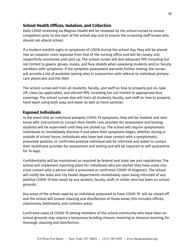### <span id="page-36-0"></span>**School Health Offices, Isolation, and Collection**

Daily COVID screening via Magnus Health will be reviewed by the school nurses to ensure completion prior to the start of the school day and to ensure the screening staff knows who should not attend school.

If a student exhibits signs or symptoms of COVID during the school day, they will be placed into an isolation room separate from that of the nursing office and will be closely and respectfully monitored until pick up. The school nurses will don adequate PPE including but not limited to gowns, gloves, masks, and face shields when assessing students and/or faculty members with symptoms. If the symptom assessment warrants further testing, the nurses will provide a list of available testing sites in conjunction with referral to individual primary care physicians and the DOH.

The school nurses will train all students, faculty, and staff on how to properly put on, take off, clean (as applicable), and discard PPE, including but not limited to appropriate face coverings. The school nurses also will train all students, faculty, and staff on how to properly hand wash using both soap and water as well as hand sanitizer.

### <span id="page-36-1"></span>**Exposed Individuals**

In the event that an individual presents COVID-19 symptoms, they will be isolated and sent home with instructions to contact their health care provider for assessment and testing; students will be supervised until they are picked up. The school will require symptomatic individuals to immediately disclose if and when their symptoms began, whether during or outside of school hours. Individuals who have had close contact with a symptomatic, presumed positive, or confirmed positive individual will be informed and asked to contact their healthcare provider for assessment and testing and will be required to self-quarantine for 14 days.

Confidentiality will be maintained as required by federal and state law and regulations. The school will implement reporting plans for individuals who are alerted they have come into close contact with a person with a presumed or confirmed COVID-19 diagnosis. The school will notify the state and city health departments immediately upon being informed of any positive COVID-19 test result by any student, faculty, staff, or visitor who has been on school grounds.

Any areas of the school used by an individual presumed to have COVID-19 will be closed off and the school will ensure cleaning and disinfection of those areas; this includes offices, classrooms, bathrooms, and common areas.

Confirmed cases of COVID-19 among members of the school community who have been on school grounds may require a temporary building closure, reverting to distance learning, for thorough cleaning and disinfection.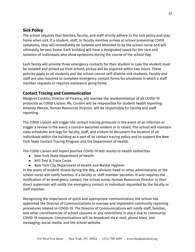## <span id="page-37-0"></span>**Sick Policy**

The school requires that families, faculty, and staff strictly adhere to the sick policy and stay home when sick. If a student, staff, or faculty member arrives at school presenting COVID symptoms, they will immediately be isolated and attended to by the school nurse and will ultimately be sent home. Each building will have a designated space for the care and isolation of individuals who show symptoms during the course of the school day.

Each family will provide three emergency contacts for their student in case the student must be isolated and picked up from school; pickup will be required within two hours. These policies apply to all students and the school cannot self-dismiss sick students. Faculty and staff are also required to complete emergency contact forms for situations in which a staff member requests or requires assistance going home.

## <span id="page-37-1"></span>**Contact Tracing and Communication**

Margaret Conklin, Director of Finance, will oversee the implementation of all COVID-19 protocols as COVID Liaison. Ms. Conklin will be responsible for student health reporting. Amanda Menzie, Human Resources Director, will be responsible for faculty and staff reporting.

The COVID Liaison will trigger the contact tracing protocols in the event of an infection or trigger a review in the event a concern becomes evident or is raised. The school will maintain class schedules and logs for faculty, staff, and visitors to document the location of all individuals within the building as a part of its contact tracing policy and to support the New York State Contact Tracing Program and the Department of Health.

The COVID Liaison will report positive COVID-19 test results to health authorities

- New York State Department of Health
- NYC Test & Trace Corps
- New York City Department of Health and Mental Hygiene

In the event of student illness during the day, a division head or other administrator or the school nurse will notify families. If a faculty or staff member becomes ill and requires the notification of an emergency contact, the school nurse, Human Resources Director or their direct supervisor will notify the emergency contact or individual requested by the faculty or staff member.

Recognizing the importance of quick and appropriate communication, the school has appointed the Director of Communications to oversee and implement community reporting procedures related to COVID-19. The Director of Communications will notify staff, families, and other constituencies of school closures or any restrictions in place due to community COVID-19 exposure. Communications will be broadcast via e-mail, phone blast, text messaging, social media, and the school website.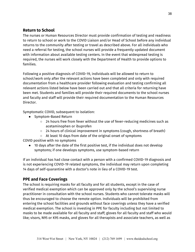## <span id="page-38-0"></span>**Return to School**

The nurses or Human Resources Director must provide confirmation of testing and readiness to return to school or work to the COVID Liaison and/or Head of School before any individual returns to the community after testing or travel as described above. For all individuals who need a referral for testing, the school nurses will provide a frequently updated document with information about available testing centers. In the event that widespread testing is required, the nurses will work closely with the Department of Health to provide options to families.

Following a positive diagnosis of COVID-19, individuals will be allowed to return to school/work only after the relevant actions have been completed and only with required documentation from a healthcare provider following evaluation and testing confirming all relevant actions listed below have been carried out and that all criteria for returning have been met. Students and families will provide their required documents to the school nurses and faculty and staff will provide their required documentation to the Human Resources Director.

Symptomatic COVID, subsequent to isolation:

- Symptom-Based Return
	- 24 hours free from fever without the use of fever-reducing medicines such as acetaminophen or ibuprofen
	- 24 hours of clinical improvement in symptoms (cough, shortness of breath)
	- At least 10 days from date of the original onset of symptoms

COVID positive with no symptoms

● 10 days after the date of the first positive test, if the individual does not develop symptoms; if one develops symptoms, use symptom-based return

If an individual has had close contact with a person with a confirmed COVID-19 diagnosis and is not experiencing COVID-19 related symptoms, the individual may return upon completing 14 days of self-quarantine with a doctor's note in lieu of a COVID-19 test.

## <span id="page-38-1"></span>**PPE and Face Coverings**

The school is requiring masks for all faculty and for all students, except in the case of verified medical exemption which can be approved only by the school's supervising nurse practitioner in consultation with the school nurses. Students who cannot tolerate masks will thus be encouraged to choose the remote option. Individuals will be prohibited from entering the school facilities and grounds without face coverings unless they have a verified medical exemption. The school is investing in PPE for faculty including but not limited to masks to be made available for all faculty and staff; gloves for all faculty and staff who would like; visors, N95 or K95 masks, and gloves for all therapists and associate teachers, as well as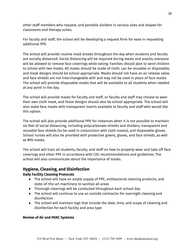other staff members who request; and portable dividers in various sizes and shapes for classrooms and therapy suites.

For faculty and staff, the school will be developing a request form for ease in requesting additional PPE.

The school will provide routine mask breaks throughout the day when students and faculty are socially distanced. Social distancing will be required during meals and snacks; everyone will be allowed to remove face coverings while eating. Families should plan to send children to school with two masks. All masks should be made of cloth, can be reusable or disposable, and mask designs should be school appropriate. Masks should not have an air release valve, and face shields are not interchangeable with and may not be used in place of face masks. The school will provide disposable masks that will be available to all students when needed at any point in the day.

The school will provide masks for faculty and staff, or faculty and staff may choose to wear their own cloth mask, and those designs should also be school appropriate. The school will also make face masks with transparent inserts available to faculty and staff who would like this option.

The school will also provide additional PPE for instances when it is not possible to maintain six feet of social distancing, including polycarbonate shields and dividers, transparent and reusable face shields (to be used in conjunction with cloth masks), and disposable gloves. School nurses will also be provided with protective gowns, gloves, and face shields, as well as N95 masks.

The school will train all students, faculty, and staff on how to properly wear and take off face coverings and other PPE in accordance with CDC recommendations and guidelines. The school will also communicate about the importance of masks.

## <span id="page-39-0"></span>**Hygiene, Cleaning, and Disinfection**

### **Daily Facility Cleaning Protocols**

- The school will have an ample supply of PPE, antibacterial cleaning products, and state-of-the-art machinery to sanitize all areas
- Thorough cleanings will be conducted throughout each school day
- The school will continue to use an outside contractor for overnight cleaning and disinfection
- The school will maintain logs that include the date, time, and scope of cleaning and disinfection for each facility and area type

### **Review of Air and HVAC Systems**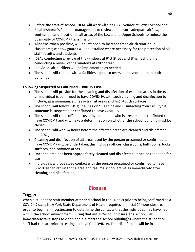- Before the start of school, IDEAL will work with its HVAC vendor at Lower School and B'nai Jeshurun's facilities management to review and ensure adequate airflow, ventilation, and filtration in all areas of the Lower and Upper Schools to reduce the possibility of COVID-19 transmission
- Windows, when possible, will be left open to increase fresh air circulation in classrooms; window guards will be installed where necessary for the protection of all staff, faculty, and students
- IDEAL conducting a review of the windows at 91st Street and B'nai Jeshurun is conducting a review of the windows at 89th Street
- Individual air purifiers will be implemented as needed
- The school will consult with a facilities expert to oversee the ventilation in both buildings

### **Following Suspected or Confirmed COVID-19 Case:**

- The school will provide for the cleaning and disinfection of exposed areas in the event an individual is confirmed to have COVID-19, with such cleaning and disinfection to include, at a minimum, all heavy transit areas and high-touch surfaces
- The school will follow CDC guidelines on "Cleaning and Disinfecting Your Facility" if someone is suspected or confirmed to have COVID-19
- The school will close off areas used by the person who is presumed or confirmed to have COVID-19 and will make a determination on whether the school building must be closed
- The school will wait 24 hours before the affected areas are cleaned and disinfected, per CDC guidelines
- Cleaning and disinfection of all areas used by the person presumed or confirmed to have COVID-19 will be undertaken; this includes offices, classrooms, bathrooms, locker surfaces, and common areas
- Once the area has been appropriately cleaned and disinfected, it can be reopened for use
- Individuals without close contact with the person presumed or confirmed to have COVID-19 can return to the area and resume school activities immediately after cleaning and disinfection

## **Closure**

## <span id="page-40-1"></span><span id="page-40-0"></span>**Triggers**

When a student or staff member attended school in the 14 days prior to being confirmed as a COVID-19 case, New York State Department of Health requires an initial 24-hour closure, in order to begin an investigation to determine the contacts that the individual may have had within the school environment. During that initial 24-hour closure, the school will immediately take steps to clean and disinfect the school building(s) where the student or staff had contact prior to testing positive for COVID-19. That disinfection will be in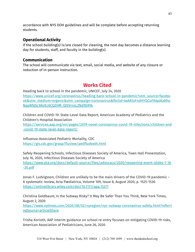accordance with NYS DOH guidelines and will be complete before accepting returning students.

## <span id="page-41-0"></span>**Operational Activity**

If the school building(s) is/are closed for cleaning, the next day becomes a distance learning day for students, staff, and faculty in the building(s).

## <span id="page-41-1"></span>**Communication**

The school will communicate via text, email, social media, and website of any closure or reduction of in-person instruction.

## **Works Cited**

<span id="page-41-2"></span>Heading back to school in the pandemic, UNICEF, July 24, 2020 [https://www.unicef.org/coronavirus/heading-back-school-in-pandemic?utm\\_source=facebo](https://www.unicef.org/coronavirus/heading-back-school-in-pandemic?utm_source=facebook&utm_medium=organic&utm_campaign=coronavirus&fbclid=IwAR3zFndHYQCoFK6pJKz89vjNppNfgSL9AUEc6CQZHM_QI5VrnsLZNd9b99k) [ok&utm\\_medium=organic&utm\\_campaign=coronavirus&fbclid=IwAR3zFndHYQCoFK6pJKz89vj](https://www.unicef.org/coronavirus/heading-back-school-in-pandemic?utm_source=facebook&utm_medium=organic&utm_campaign=coronavirus&fbclid=IwAR3zFndHYQCoFK6pJKz89vjNppNfgSL9AUEc6CQZHM_QI5VrnsLZNd9b99k) [NppNfgSL9AUEc6CQZHM\\_QI5VrnsLZNd9b99k](https://www.unicef.org/coronavirus/heading-back-school-in-pandemic?utm_source=facebook&utm_medium=organic&utm_campaign=coronavirus&fbclid=IwAR3zFndHYQCoFK6pJKz89vjNppNfgSL9AUEc6CQZHM_QI5VrnsLZNd9b99k)

Children and COVID-19: State-Level Data Report, American Academy of Pediatrics and the Children's Hospital Association

[https://services.aap.org/en/pages/2019-novel-coronavirus-covid-19-infections/children-and](https://services.aap.org/en/pages/2019-novel-coronavirus-covid-19-infections/children-and-covid-19-state-level-data-report/) [-covid-19-state-level-data-report/](https://services.aap.org/en/pages/2019-novel-coronavirus-covid-19-infections/children-and-covid-19-state-level-data-report/)

Influenza-Associated Pediatric Mortality, CDC <https://gis.cdc.gov/grasp/fluview/pedfludeath.html>

Safely Reopening Schools, Infectious Diseases Society of America, Town Hall Presentation, July 16, 2020, Infectious Diseases Society of America [https://www.pta.org/docs/default-source/files/advocacy/2020/reopening-event-slides-7-16](https://www.pta.org/docs/default-source/files/advocacy/2020/reopening-event-slides-7-16-20.pdf) [-20.pdf](https://www.pta.org/docs/default-source/files/advocacy/2020/reopening-event-slides-7-16-20.pdf)

Jonas F. Ludvigsson, Children are unlikely to be the main drivers of the COVID-19 pandemic – A systematic review, Acta Pædiatrica, Volume 109, Issue 8, August 2020, p. 1525-1530 <https://onlinelibrary.wiley.com/doi/10.1111/apa.15371>

Christina Goldbaum, Is the Subway Risky? It May Be Safer Than You Think, New York Times, August 2, 2020

[https://www.nytimes.com/2020/08/02/nyregion/nyc-subway-coronavirus-safety.html?referri](https://www.nytimes.com/2020/08/02/nyregion/nyc-subway-coronavirus-safety.html?referringSource=articleShare) [ngSource=articleShare](https://www.nytimes.com/2020/08/02/nyregion/nyc-subway-coronavirus-safety.html?referringSource=articleShare)

Trisha Korioth, AAP interim guidance on school re-entry focuses on mitigating COVID-19 risks, American Association of Pediatricians, June 26, 2020